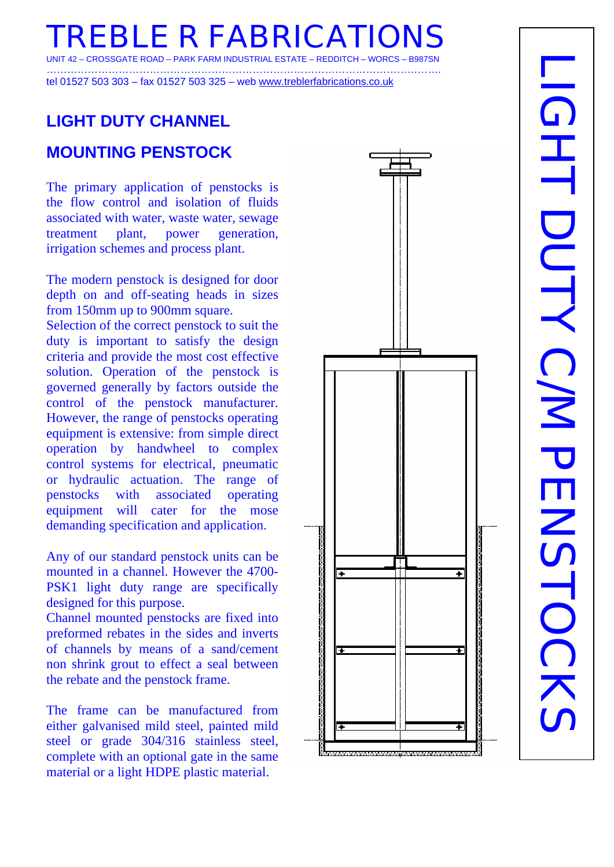**FBLE R FABRICATIO** UNIT 42 – CROSSGATE ROAD – PARK FARM INDUSTRIAL ESTATE – REDDITCH – WORCS – B987SN

……………………………………………………………………………………………………. tel 01527 503 303 – fax 01527 503 325 – web www.treblerfabrications.co.uk

# **LIGHT DUTY CHANNEL**

#### **MOUNTING PENSTOCK**

The primary application of penstocks is the flow control and isolation of fluids associated with water, waste water, sewage treatment plant, power generation, irrigation schemes and process plant.

The modern penstock is designed for door depth on and off-seating heads in sizes from 150mm up to 900mm square.

Selection of the correct penstock to suit the duty is important to satisfy the design criteria and provide the most cost effective solution. Operation of the penstock is governed generally by factors outside the control of the penstock manufacturer. However, the range of penstocks operating equipment is extensive: from simple direct operation by handwheel to complex control systems for electrical, pneumatic or hydraulic actuation. The range of penstocks with associated operating equipment will cater for the mose demanding specification and application.

Any of our standard penstock units can be mounted in a channel. However the 4700- PSK1 light duty range are specifically designed for this purpose.

Channel mounted penstocks are fixed into preformed rebates in the sides and inverts of channels by means of a sand/cement non shrink grout to effect a seal between the rebate and the penstock frame.

The frame can be manufactured from either galvanised mild steel, painted mild steel or grade 304/316 stainless steel, complete with an optional gate in the same material or a light HDPE plastic material.

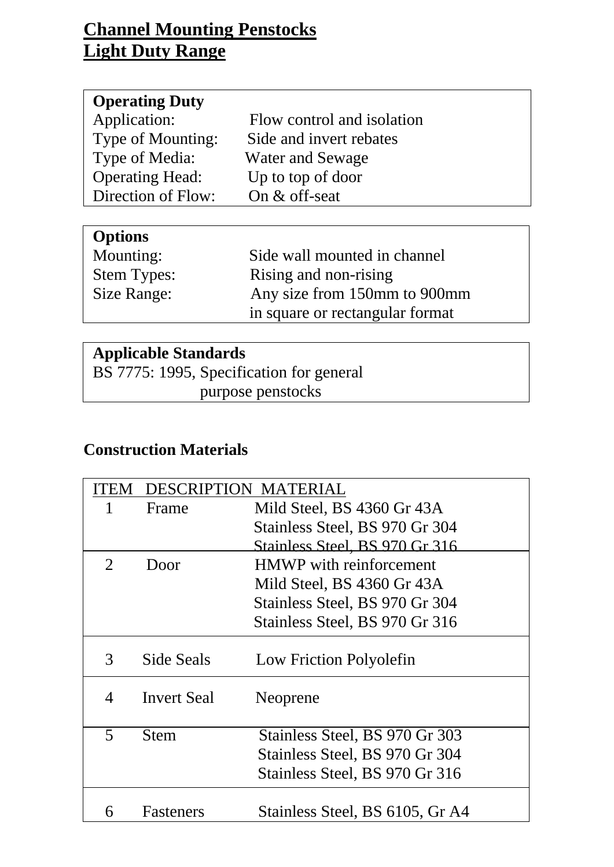## **Channel Mounting Penstocks Light Duty Range**

| <b>Operating Duty</b>  |                            |
|------------------------|----------------------------|
| Application:           | Flow control and isolation |
| Type of Mounting:      | Side and invert rebates    |
| Type of Media:         | Water and Sewage           |
| <b>Operating Head:</b> | Up to top of door          |
| Direction of Flow:     | On $&$ off-seat            |

| <b>Options</b>     |                                 |
|--------------------|---------------------------------|
| Mounting:          | Side wall mounted in channel    |
| <b>Stem Types:</b> | Rising and non-rising           |
| Size Range:        | Any size from 150mm to 900mm    |
|                    | in square or rectangular format |

### **Applicable Standards**

BS 7775: 1995, Specification for general purpose penstocks

### **Construction Materials**

|                         |                    | DESCRIPTION MATERIAL            |
|-------------------------|--------------------|---------------------------------|
|                         | Frame              | Mild Steel, BS 4360 Gr 43A      |
|                         |                    | Stainless Steel, BS 970 Gr 304  |
|                         |                    | Stainless Steel, BS 970 Gr 316  |
| $\overline{2}$          | Door               | <b>HMWP</b> with reinforcement  |
|                         |                    | Mild Steel, BS 4360 Gr 43A      |
|                         |                    | Stainless Steel, BS 970 Gr 304  |
|                         |                    | Stainless Steel, BS 970 Gr 316  |
| 3                       | Side Seals         | Low Friction Polyolefin         |
| 4                       | <b>Invert Seal</b> | Neoprene                        |
| $\overline{\mathbf{5}}$ | Stem               | Stainless Steel, BS 970 Gr 303  |
|                         |                    | Stainless Steel, BS 970 Gr 304  |
|                         |                    | Stainless Steel, BS 970 Gr 316  |
| 6                       | <b>Fasteners</b>   | Stainless Steel, BS 6105, Gr A4 |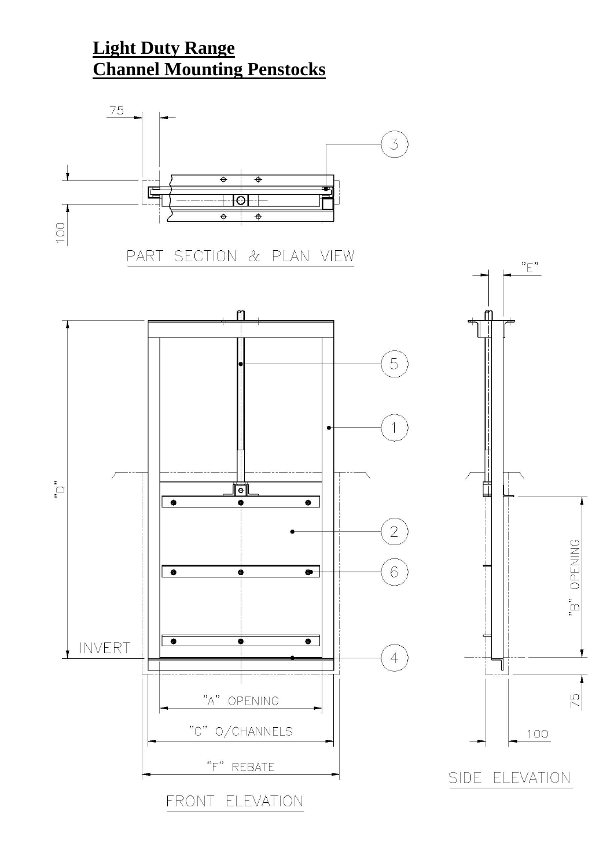## **Light Duty Range Channel Mounting Penstocks**

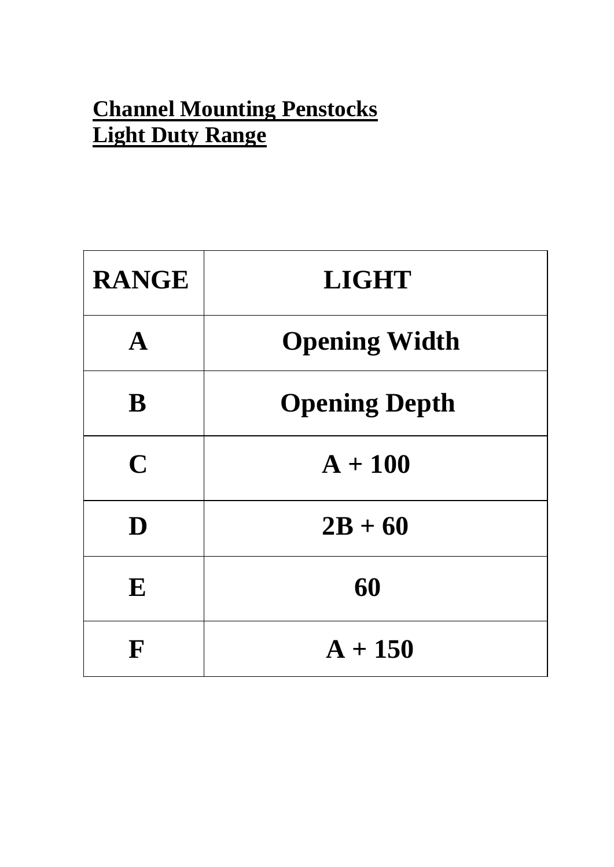# **Channel Mounting Penstocks Light Duty Range**

| <b>RANGE</b> | <b>LIGHT</b>         |
|--------------|----------------------|
| $\mathbf{A}$ | <b>Opening Width</b> |
| B            | <b>Opening Depth</b> |
| $\mathbf C$  | $A + 100$            |
| D            | $2B + 60$            |
| E            | 60                   |
| F            | $A + 150$            |